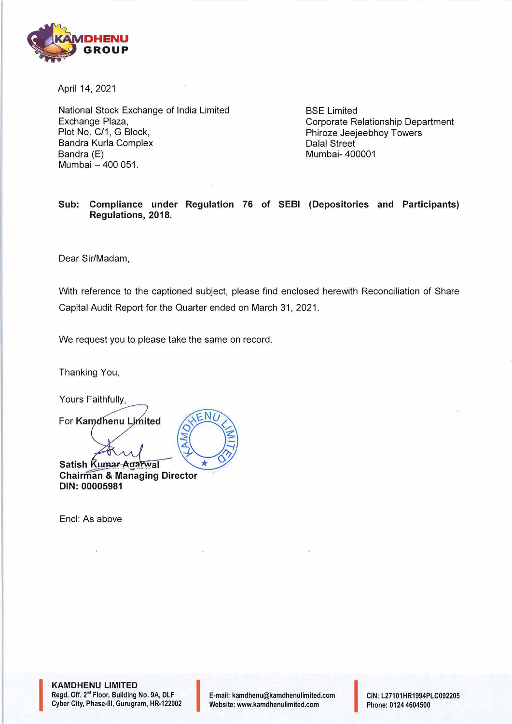

April 14, 2021

National Stock Exchange of India Limited Exchange Plaza, Plot No. C/1, G Block, Sandra Kurla Complex Bandra (E) Mumbai - 400 051.

BSE Limited Corporate Relationship Department Phiroze Jeejeebhoy Towers Dalal Street Mumbai- 400001

# **Sub: Compliance under Regulation 76 of SEBI (Depositories and Participants) Regulations, 2018.**

Dear Sir/Madam,

With reference to the captioned subject, please find enclosed herewith Reconciliation of Share Capital Audit Report for the Quarter ended on March 31, 2021.

We request you to please take the same on record.

Thanking You,

Yours Faithfully,

For Kamdhenu Limited

**Satish Kumar Agatwal Chairman & Managing Director DIN: 00005981** 

Encl: As above

**KAMDHENU LIMITED Regd. Off. 2 ° •** Floor, Building **No. 9A,** DLF **KAMDHENU LIMITED<br>Regd. Off. 2<sup>nd</sup> Floor, Building No. 9A, DLF<br>Cyber City, Phase-III, Gurugram, HR-122002** 

I

E-mail: kamdhenu@kamdhenulimited.com E-mail: kamdhenu@kamdhenulimited.com<br>Website: www.kamdhenulimited.com

**CIN:** L27101HR1994PLC092205 Phone: 0124 4604500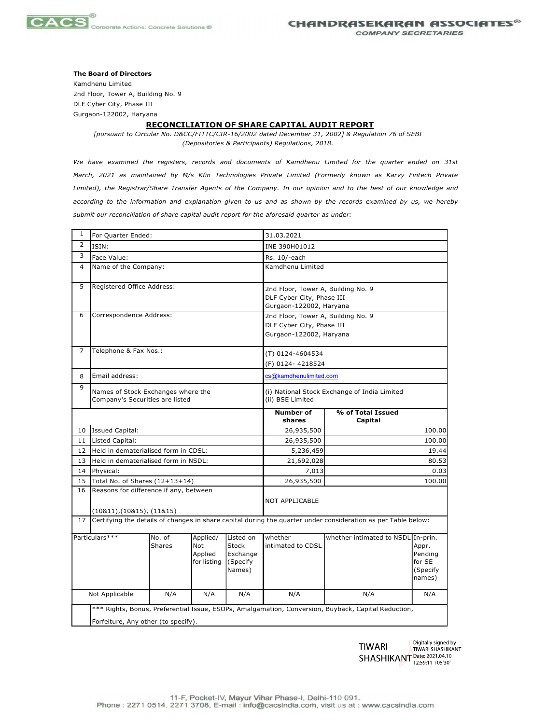

## The Board of Directors

Kamdhenu Limited 2nd Floor, Tower A, Building No. 9 DLF Cyber City, Phase III Gurgaon-122002, Haryana

# RECONCILIATION OF SHARE CAPITAL AUDIT REPORT

CHANDRASEKARAN ASSOCIATES®<br>
comporate Actions; Concrete Solutions ©<br>
componenty SECRETARIES<br>
entricare A, Building No. 9<br>
ober City, Phase III<br>
(pursuant to Circular No. D&C/FITTC/CIR-16/2002 dated December 31, 2002] & Reg We have examined the registers, records and documents of Kamdhenu Limited for the quarter ended on 31st March, 2021 as maintained by M/s Kfin Technologies Private Limited (Formerly known as Karvy Fintech Private Limited), the Registrar/Share Transfer Agents of the Company. In our opinion and to the best of our knowledge and according to the information and explanation given to us and as shown by the records examined by us, we hereby submit our reconciliation of share capital audit report for the aforesaid quarter as under:

|                | Gurgaon-122002, Haryana                                                                                     |                                        |                                             |                                                      | <u>RECONCILIATION OF SHARE CAPITAL AUDIT REPORT</u>                                        |                                                                                                                   |                                                  |  |
|----------------|-------------------------------------------------------------------------------------------------------------|----------------------------------------|---------------------------------------------|------------------------------------------------------|--------------------------------------------------------------------------------------------|-------------------------------------------------------------------------------------------------------------------|--------------------------------------------------|--|
|                |                                                                                                             |                                        |                                             |                                                      | (Depositories & Participants) Regulations, 2018.                                           | [pursuant to Circular No. D&CC/FITTC/CIR-16/2002 dated December 31, 2002] & Regulation 76 of SEBI                 |                                                  |  |
|                |                                                                                                             |                                        |                                             |                                                      |                                                                                            | We have examined the registers, records and documents of Kamdhenu Limited for the quarter ended on 31st           |                                                  |  |
|                | March, 2021 as maintained by M/s Kfin Technologies Private Limited (Formerly known as Karvy Fintech Private |                                        |                                             |                                                      |                                                                                            |                                                                                                                   |                                                  |  |
|                |                                                                                                             |                                        |                                             |                                                      |                                                                                            | Limited), the Registrar/Share Transfer Agents of the Company. In our opinion and to the best of our knowledge and |                                                  |  |
|                |                                                                                                             |                                        |                                             |                                                      |                                                                                            | according to the information and explanation given to us and as shown by the records examined by us, we hereby    |                                                  |  |
|                | submit our reconciliation of share capital audit report for the aforesaid quarter as under:                 |                                        |                                             |                                                      |                                                                                            |                                                                                                                   |                                                  |  |
| $\mathbf{1}$   | For Quarter Ended:                                                                                          |                                        |                                             |                                                      | 31.03.2021                                                                                 |                                                                                                                   |                                                  |  |
| $\overline{2}$ | ISIN:                                                                                                       |                                        |                                             |                                                      | INE 390H01012                                                                              |                                                                                                                   |                                                  |  |
| 3              | Face Value:                                                                                                 |                                        |                                             |                                                      | Rs. 10/-each                                                                               |                                                                                                                   |                                                  |  |
| 4              | Name of the Company:                                                                                        |                                        |                                             |                                                      | Kamdhenu Limited                                                                           |                                                                                                                   |                                                  |  |
| 5              |                                                                                                             | Registered Office Address:             |                                             |                                                      |                                                                                            | 2nd Floor, Tower A, Building No. 9<br>DLF Cyber City, Phase III<br>Gurgaon-122002, Haryana                        |                                                  |  |
| 6              | Correspondence Address:                                                                                     |                                        |                                             |                                                      | 2nd Floor, Tower A, Building No. 9<br>DLF Cyber City, Phase III<br>Gurgaon-122002, Haryana |                                                                                                                   |                                                  |  |
| 7              | Telephone & Fax Nos.:                                                                                       |                                        |                                             |                                                      | (T) 0124-4604534<br>(F) 0124-4218524                                                       |                                                                                                                   |                                                  |  |
| 8              | Email address:                                                                                              |                                        |                                             |                                                      | cs@kamdhenulimited.com                                                                     |                                                                                                                   |                                                  |  |
| 9              | Names of Stock Exchanges where the<br>Company's Securities are listed                                       |                                        |                                             |                                                      | (ii) BSE Limited                                                                           | (i) National Stock Exchange of India Limited                                                                      |                                                  |  |
|                |                                                                                                             |                                        |                                             |                                                      | <b>Number of</b><br>shares                                                                 | % of Total Issued<br>Capital                                                                                      |                                                  |  |
| 10             | Issued Capital:                                                                                             |                                        |                                             |                                                      | 26,935,500                                                                                 |                                                                                                                   | 100.00                                           |  |
| 11             | Listed Capital:                                                                                             |                                        |                                             |                                                      | 26,935,500                                                                                 |                                                                                                                   | 100.00                                           |  |
| 12             | Held in dematerialised form in CDSL:                                                                        |                                        |                                             |                                                      | 5,236,459                                                                                  |                                                                                                                   | 19.44<br>80.53                                   |  |
| 13             |                                                                                                             | Held in dematerialised form in NSDL:   |                                             |                                                      | 21,692,028<br>7,013                                                                        |                                                                                                                   |                                                  |  |
| 15             | 14   Physical:<br>Total No. of Shares (12+13+14)                                                            |                                        |                                             |                                                      | 0.03<br>26,935,500<br>100.00                                                               |                                                                                                                   |                                                  |  |
| 16             |                                                                                                             | Reasons for difference if any, between |                                             |                                                      |                                                                                            |                                                                                                                   |                                                  |  |
|                | (10&11), (10&15), (11&15)                                                                                   |                                        |                                             |                                                      | NOT APPLICABLE                                                                             | 17 Certifying the details of changes in share capital during the quarter under consideration as per Table below:  |                                                  |  |
|                |                                                                                                             |                                        |                                             |                                                      |                                                                                            |                                                                                                                   |                                                  |  |
|                | Particulars***                                                                                              | No. of<br>Shares                       | Applied/<br>Not  <br>Applied<br>for listing | Listed on<br>Stock<br>Exchange<br>(Specify<br>Names) | whether<br>intimated to CDSL                                                               | whether intimated to NSDL In-prin.                                                                                | Appr.<br>Pending<br>for SE<br>(Specify<br>names) |  |
|                | Not Applicable                                                                                              | N/A                                    | N/A                                         | N/A                                                  | N/A                                                                                        | N/A                                                                                                               | N/A                                              |  |
|                | Forfeiture, Any other (to specify).                                                                         |                                        |                                             |                                                      |                                                                                            | *** Rights, Bonus, Preferential Issue, ESOPs, Amalgamation, Conversion, Buyback, Capital Reduction,               |                                                  |  |
|                |                                                                                                             |                                        |                                             |                                                      |                                                                                            |                                                                                                                   |                                                  |  |

Digitally signed by TIWARI TIWARI SHASHIKANT SHASHIKANT Date: 2021.04.10